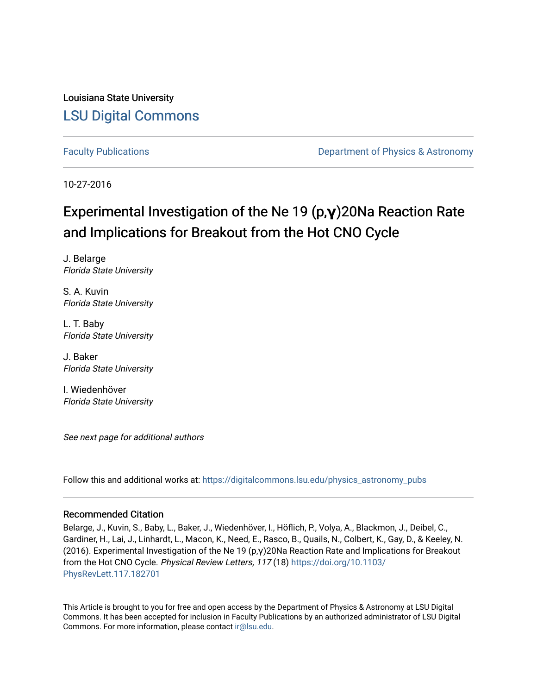Louisiana State University [LSU Digital Commons](https://digitalcommons.lsu.edu/)

[Faculty Publications](https://digitalcommons.lsu.edu/physics_astronomy_pubs) **Exercise 2** and Table 2 and Department of Physics & Astronomy

10-27-2016

## Experimental Investigation of the Ne 19 (p,**γ**)20Na Reaction Rate and Implications for Breakout from the Hot CNO Cycle

J. Belarge Florida State University

S. A. Kuvin Florida State University

L. T. Baby Florida State University

J. Baker Florida State University

I. Wiedenhöver Florida State University

See next page for additional authors

Follow this and additional works at: [https://digitalcommons.lsu.edu/physics\\_astronomy\\_pubs](https://digitalcommons.lsu.edu/physics_astronomy_pubs?utm_source=digitalcommons.lsu.edu%2Fphysics_astronomy_pubs%2F232&utm_medium=PDF&utm_campaign=PDFCoverPages) 

#### Recommended Citation

Belarge, J., Kuvin, S., Baby, L., Baker, J., Wiedenhöver, I., Höflich, P., Volya, A., Blackmon, J., Deibel, C., Gardiner, H., Lai, J., Linhardt, L., Macon, K., Need, E., Rasco, B., Quails, N., Colbert, K., Gay, D., & Keeley, N. (2016). Experimental Investigation of the Ne 19 (p,γ)20Na Reaction Rate and Implications for Breakout from the Hot CNO Cycle. Physical Review Letters, 117 (18) [https://doi.org/10.1103/](https://doi.org/10.1103/PhysRevLett.117.182701) [PhysRevLett.117.182701](https://doi.org/10.1103/PhysRevLett.117.182701) 

This Article is brought to you for free and open access by the Department of Physics & Astronomy at LSU Digital Commons. It has been accepted for inclusion in Faculty Publications by an authorized administrator of LSU Digital Commons. For more information, please contact [ir@lsu.edu](mailto:ir@lsu.edu).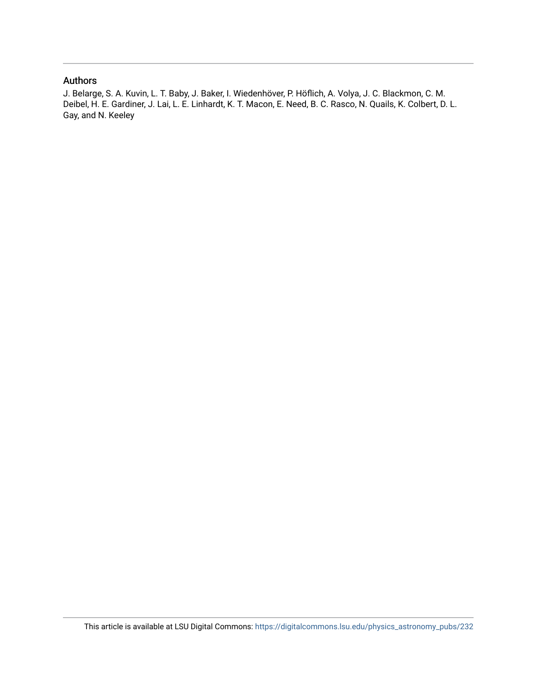### Authors

J. Belarge, S. A. Kuvin, L. T. Baby, J. Baker, I. Wiedenhöver, P. Höflich, A. Volya, J. C. Blackmon, C. M. Deibel, H. E. Gardiner, J. Lai, L. E. Linhardt, K. T. Macon, E. Need, B. C. Rasco, N. Quails, K. Colbert, D. L. Gay, and N. Keeley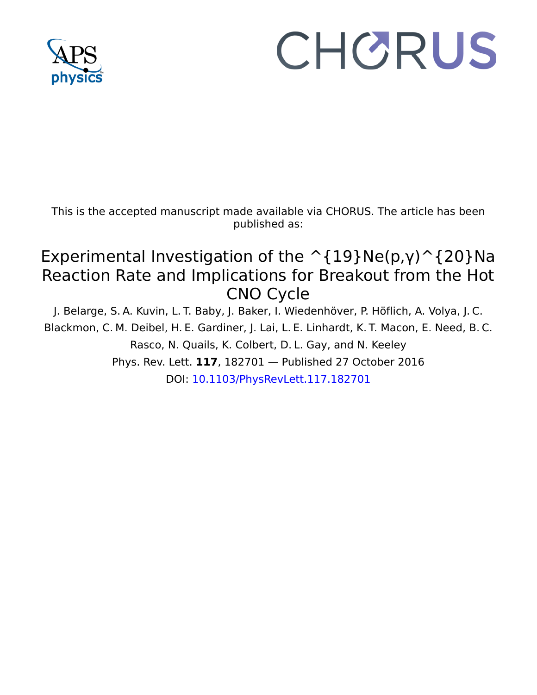

# CHORUS

This is the accepted manuscript made available via CHORUS. The article has been published as:

## Experimental Investigation of the  $\hat{\;}$  {19}Ne(p,γ) $\hat{\;}$  {20}Na Reaction Rate and Implications for Breakout from the Hot CNO Cycle

J. Belarge, S. A. Kuvin, L. T. Baby, J. Baker, I. Wiedenhöver, P. Höflich, A. Volya, J. C. Blackmon, C. M. Deibel, H. E. Gardiner, J. Lai, L. E. Linhardt, K. T. Macon, E. Need, B. C. Rasco, N. Quails, K. Colbert, D. L. Gay, and N. Keeley Phys. Rev. Lett. **117**, 182701 — Published 27 October 2016 DOI: [10.1103/PhysRevLett.117.182701](http://dx.doi.org/10.1103/PhysRevLett.117.182701)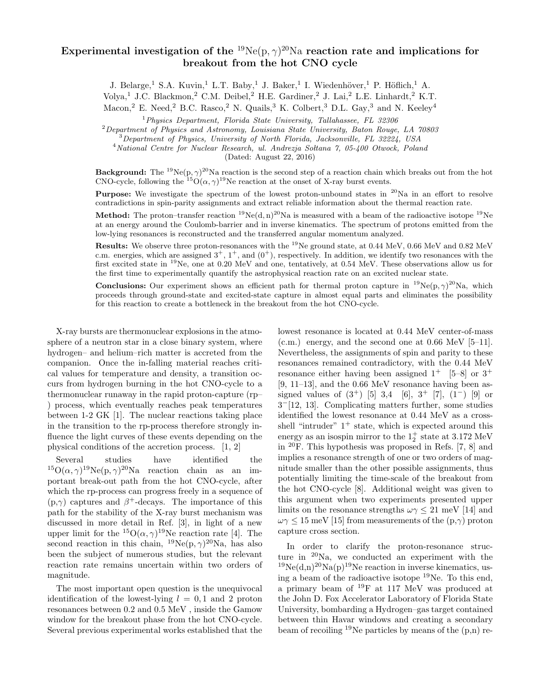### Experimental investigation of the  $^{19}$ Ne(p,  $\gamma$ )<sup>20</sup>Na reaction rate and implications for breakout from the hot CNO cycle

J. Belarge,<sup>1</sup> S.A. Kuvin,<sup>1</sup> L.T. Baby,<sup>1</sup> J. Baker,<sup>1</sup> I. Wiedenhöver,<sup>1</sup> P. Höflich,<sup>1</sup> A.

Volya,<sup>1</sup> J.C. Blackmon,<sup>2</sup> C.M. Deibel,<sup>2</sup> H.E. Gardiner,<sup>2</sup> J. Lai,<sup>2</sup> L.E. Linhardt,<sup>2</sup> K.T.

Macon,<sup>2</sup> E. Need,<sup>2</sup> B.C. Rasco,<sup>2</sup> N. Quails,<sup>3</sup> K. Colbert,<sup>3</sup> D.L. Gay,<sup>3</sup> and N. Keeley<sup>4</sup>

 $1$ Physics Department, Florida State University, Tallahassee, FL 32306

 $2$ Department of Physics and Astronomy, Louisiana State University, Baton Rouge, LA  $70803$ 

<sup>3</sup>Department of Physics, University of North Florida, Jacksonville, FL 32224, USA

 $4$ National Centre for Nuclear Research, ul. Andrezja Soltana 7, 05-400 Otwock, Poland

(Dated: August 22, 2016)

**Background:** The <sup>19</sup>Ne(p,  $\gamma$ )<sup>20</sup>Na reaction is the second step of a reaction chain which breaks out from the hot CNO-cycle, following the <sup>15</sup>O( $\alpha$ ,  $\gamma$ )<sup>19</sup>Ne reaction at the onset of X-ray burst events.

**Purpose:** We investigate the spectrum of the lowest proton-unbound states in  $^{20}$ Na in an effort to resolve contradictions in spin-parity assignments and extract reliable information about the thermal reaction rate.

**Method:** The proton–transfer reaction <sup>19</sup>Ne(d, n)<sup>20</sup>Na is measured with a beam of the radioactive isotope <sup>19</sup>Ne at an energy around the Coulomb-barrier and in inverse kinematics. The spectrum of protons emitted from the low-lying resonances is reconstructed and the transferred angular momentum analyzed.

Results: We observe three proton-resonances with the <sup>19</sup>Ne ground state, at 0.44 MeV, 0.66 MeV and 0.82 MeV c.m. energies, which are assigned  $3^+$ ,  $1^+$ , and  $(0^+)$ , respectively. In addition, we identify two resonances with the first excited state in <sup>19</sup>Ne, one at 0.20 MeV and one, tentatively, at 0.54 MeV. These observations allow us for the first time to experimentally quantify the astrophysical reaction rate on an excited nuclear state.

**Conclusions:** Our experiment shows an efficient path for thermal proton capture in <sup>19</sup>Ne(p,  $\gamma$ )<sup>20</sup>Na, which proceeds through ground-state and excited-state capture in almost equal parts and eliminates the possibility for this reaction to create a bottleneck in the breakout from the hot CNO-cycle.

X-ray bursts are thermonuclear explosions in the atmosphere of a neutron star in a close binary system, where hydrogen– and helium–rich matter is accreted from the companion. Once the in-falling material reaches critical values for temperature and density, a transition occurs from hydrogen burning in the hot CNO-cycle to a thermonuclear runaway in the rapid proton-capture (rp– ) process, which eventually reaches peak temperatures between 1-2 GK [1]. The nuclear reactions taking place in the transition to the rp-process therefore strongly influence the light curves of these events depending on the physical conditions of the accretion process. [1, 2]

Several studies have identified the <sup>15</sup> $O(\alpha, \gamma)^{19}$ Ne $(p, \gamma)^{20}$ Na reaction chain as an important break-out path from the hot CNO-cycle, after which the rp-process can progress freely in a sequence of  $(p,\gamma)$  captures and  $\beta^+$ -decays. The importance of this path for the stability of the X-ray burst mechanism was discussed in more detail in Ref. [3], in light of a new upper limit for the  ${}^{15}O(\alpha, \gamma) {}^{19}Ne$  reaction rate [4]. The second reaction in this chain,  $^{19}Ne(p,\gamma)^{20}Na$ , has also been the subject of numerous studies, but the relevant reaction rate remains uncertain within two orders of magnitude.

The most important open question is the unequivocal identification of the lowest-lying  $l = 0, 1$  and 2 proton resonances between 0.2 and 0.5 MeV , inside the Gamow window for the breakout phase from the hot CNO-cycle. Several previous experimental works established that the lowest resonance is located at 0.44 MeV center-of-mass  $(c.m.)$  energy, and the second one at 0.66 MeV [5–11]. Nevertheless, the assignments of spin and parity to these resonances remained contradictory, with the 0.44 MeV resonance either having been assigned  $1^+$  [5–8] or  $3^+$ [9, 11–13], and the  $0.66 \text{ MeV}$  resonance having been assigned values of  $(3^+)$  [5] 3,4 [6],  $3^+$  [7],  $(1^-)$  [9] or 3 <sup>−</sup>[12, 13]. Complicating matters further, some studies identified the lowest resonance at 0.44 MeV as a crossshell "intruder"  $1^+$  state, which is expected around this energy as an isospin mirror to the  $1^+_2$  state at 3.172 MeV in <sup>20</sup>F. This hypothesis was proposed in Refs. [7, 8] and implies a resonance strength of one or two orders of magnitude smaller than the other possible assignments, thus potentially limiting the time-scale of the breakout from the hot CNO-cycle [8]. Additional weight was given to this argument when two experiments presented upper limits on the resonance strengths  $\omega \gamma \leq 21$  meV [14] and  $\omega\gamma \leq 15$  meV [15] from measurements of the  $(p,\gamma)$  proton capture cross section.

In order to clarify the proton-resonance structure in  $20$ Na, we conducted an experiment with the  $19\text{Ne}(d,n)^{20}\text{Na}(p)^{19}\text{Ne reaction}$  in inverse kinematics, using a beam of the radioactive isotope  $^{19}$ Ne. To this end, a primary beam of <sup>19</sup>F at 117 MeV was produced at the John D. Fox Accelerator Laboratory of Florida State University, bombarding a Hydrogen–gas target contained between thin Havar windows and creating a secondary beam of recoiling <sup>19</sup>Ne particles by means of the  $(p,n)$  re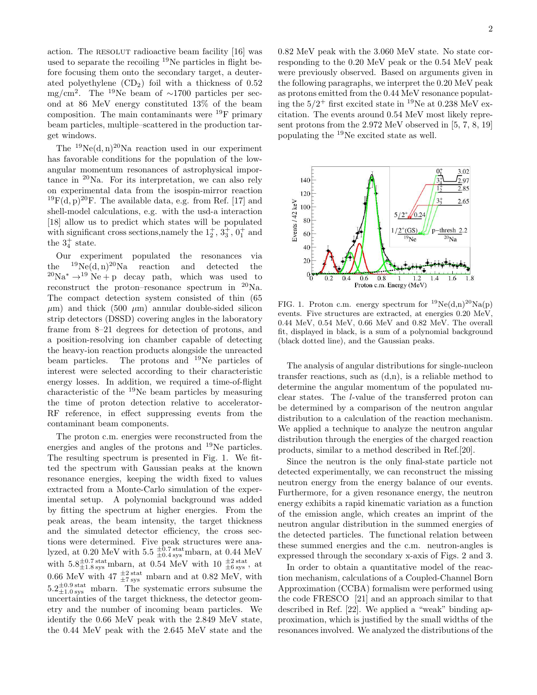action. The RESOLUT radioactive beam facility [16] was used to separate the recoiling <sup>19</sup>Ne particles in flight before focusing them onto the secondary target, a deuterated polyethylene  $(CD_2)$  foil with a thickness of 0.52 mg/cm<sup>2</sup>. The <sup>19</sup>Ne beam of  $\sim$ 1700 particles per second at 86 MeV energy constituted 13% of the beam composition. The main contaminants were  $^{19}$ F primary beam particles, multiple–scattered in the production target windows.

The  $^{19}Ne(d, n)^{20}Na$  reaction used in our experiment has favorable conditions for the population of the lowangular momentum resonances of astrophysical importance in  $20$ Na. For its interpretation, we can also rely on experimental data from the isospin-mirror reaction <sup>19</sup>F(d, p)<sup>20</sup>F. The available data, e.g. from Ref. [17] and shell-model calculations, e.g. with the usd-a interaction [18] allow us to predict which states will be populated with significant cross sections,<br>namely the  $1^+_2,\,3^+_3,\,0^+_1$  and the  $3^+_4$  state.

Our experiment populated the resonances via the  $^{19}Ne(d, n)^{20}Na$  reaction and detected the  ${}^{20}\text{Na}^* \rightarrow {}^{19}\text{Ne} + \text{p}$  decay path, which was used to reconstruct the proton–resonance spectrum in  $^{20}$ Na. The compact detection system consisted of thin (65  $\mu$ m) and thick (500  $\mu$ m) annular double-sided silicon strip detectors (DSSD) covering angles in the laboratory frame from 8–21 degrees for detection of protons, and a position-resolving ion chamber capable of detecting the heavy-ion reaction products alongside the unreacted beam particles. The protons and <sup>19</sup>Ne particles of interest were selected according to their characteristic energy losses. In addition, we required a time-of-flight characteristic of the <sup>19</sup>Ne beam particles by measuring the time of proton detection relative to accelerator-RF reference, in effect suppressing events from the contaminant beam components.

The proton c.m. energies were reconstructed from the energies and angles of the protons and <sup>19</sup>Ne particles. The resulting spectrum is presented in Fig. 1. We fitted the spectrum with Gaussian peaks at the known resonance energies, keeping the width fixed to values extracted from a Monte-Carlo simulation of the experimental setup. A polynomial background was added by fitting the spectrum at higher energies. From the peak areas, the beam intensity, the target thickness and the simulated detector efficiency, the cross sections were determined. Five peak structures were analyzed, at 0.20 MeV with  $5.5 \frac{\pm 0.7 \text{ stat}}{\pm 0.4 \text{ sys}}$  mbarn, at 0.44 MeV with  $5.8\pm0.7 \text{ stat}}{1.8 \text{ sys}}$  mbarn, at  $0.54$  MeV with  $10 \pm0.5 \text{ stat}}$  at 0.66 MeV with  $47 \frac{\pm 2 \text{ stat}}{\pm 7 \text{ sys}}$  mbarn and at 0.82 MeV, with  $5.2\pm0.9 \text{ stat}$  mbarn. The systematic errors subsume the uncertainties of the target thickness, the detector geometry and the number of incoming beam particles. We identify the 0.66 MeV peak with the 2.849 MeV state, the 0.44 MeV peak with the 2.645 MeV state and the 0.82 MeV peak with the 3.060 MeV state. No state corresponding to the 0.20 MeV peak or the 0.54 MeV peak were previously observed. Based on arguments given in the following paragraphs, we interpret the 0.20 MeV peak as protons emitted from the 0.44 MeV resonance populating the  $5/2^+$  first excited state in <sup>19</sup>Ne at 0.238 MeV excitation. The events around 0.54 MeV most likely represent protons from the 2.972 MeV observed in [5, 7, 8, 19] populating the <sup>19</sup>Ne excited state as well.



FIG. 1. Proton c.m. energy spectrum for  $^{19}Ne(d,n)^{20}Na(p)$ events. Five structures are extracted, at energies 0.20 MeV, 0.44 MeV, 0.54 MeV, 0.66 MeV and 0.82 MeV. The overall fit, displayed in black, is a sum of a polynomial background (black dotted line), and the Gaussian peaks.

The analysis of angular distributions for single-nucleon transfer reactions, such as  $(d, n)$ , is a reliable method to determine the angular momentum of the populated nuclear states. The l-value of the transferred proton can be determined by a comparison of the neutron angular distribution to a calculation of the reaction mechanism. We applied a technique to analyze the neutron angular distribution through the energies of the charged reaction products, similar to a method described in Ref.[20].

Since the neutron is the only final-state particle not detected experimentally, we can reconstruct the missing neutron energy from the energy balance of our events. Furthermore, for a given resonance energy, the neutron energy exhibits a rapid kinematic variation as a function of the emission angle, which creates an imprint of the neutron angular distribution in the summed energies of the detected particles. The functional relation between these summed energies and the c.m. neutron-angles is expressed through the secondary x-axis of Figs. 2 and 3.

In order to obtain a quantitative model of the reaction mechanism, calculations of a Coupled-Channel Born Approximation (CCBA) formalism were performed using the code FRESCO [21] and an approach similar to that described in Ref. [22]. We applied a "weak" binding approximation, which is justified by the small widths of the resonances involved. We analyzed the distributions of the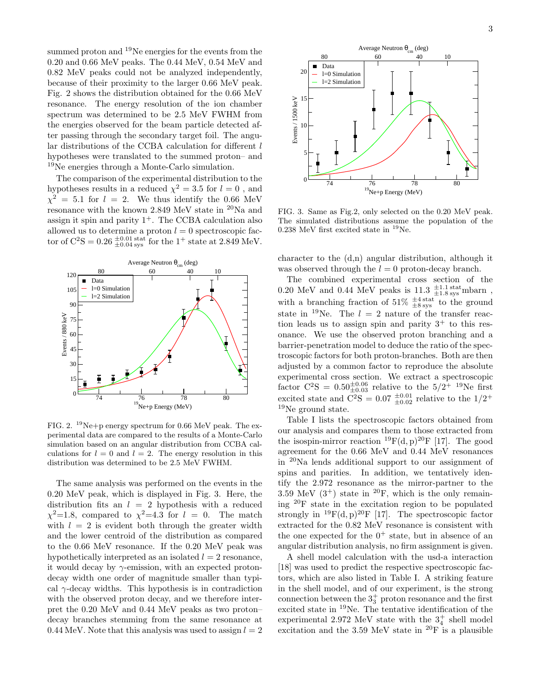summed proton and <sup>19</sup>Ne energies for the events from the 0.20 and 0.66 MeV peaks. The 0.44 MeV, 0.54 MeV and 0.82 MeV peaks could not be analyzed independently, because of their proximity to the larger 0.66 MeV peak. Fig. 2 shows the distribution obtained for the 0.66 MeV resonance. The energy resolution of the ion chamber spectrum was determined to be 2.5 MeV FWHM from the energies observed for the beam particle detected after passing through the secondary target foil. The angular distributions of the CCBA calculation for different  $l$ hypotheses were translated to the summed proton– and <sup>19</sup>Ne energies through a Monte-Carlo simulation.

The comparison of the experimental distribution to the hypotheses results in a reduced  $\chi^2 = 3.5$  for  $l = 0$ , and  $\chi^2 = 5.1$  for  $l = 2$ . We thus identify the 0.66 MeV resonance with the known 2.849 MeV state in  $^{20}\mathrm{Na}$  and assign it spin and parity  $1^+$ . The CCBA calculation also allowed us to determine a proton  $l = 0$  spectroscopic factor of  $C^{2}S = 0.26 \frac{\pm 0.01 \text{ stat}}{\pm 0.04 \text{ sys}}$  for the 1<sup>+</sup> state at 2.849 MeV.



FIG. 2. <sup>19</sup>Ne+p energy spectrum for 0.66 MeV peak. The experimental data are compared to the results of a Monte-Carlo simulation based on an angular distribution from CCBA calculations for  $l = 0$  and  $l = 2$ . The energy resolution in this distribution was determined to be 2.5 MeV FWHM.

The same analysis was performed on the events in the 0.20 MeV peak, which is displayed in Fig. 3. Here, the distribution fits an  $l = 2$  hypothesis with a reduced  $\chi^2$ =1.8, compared to  $\chi^2$ =4.3 for  $l = 0$ . The match with  $l = 2$  is evident both through the greater width and the lower centroid of the distribution as compared to the 0.66 MeV resonance. If the 0.20 MeV peak was hypothetically interpreted as an isolated  $l = 2$  resonance, it would decay by  $\gamma$ -emission, with an expected protondecay width one order of magnitude smaller than typical  $\gamma$ -decay widths. This hypothesis is in contradiction with the observed proton decay, and we therefore interpret the 0.20 MeV and 0.44 MeV peaks as two proton– decay branches stemming from the same resonance at 0.44 MeV. Note that this analysis was used to assign  $l = 2$  3



FIG. 3. Same as Fig.2, only selected on the 0.20 MeV peak. The simulated distributions assume the population of the 0.238 MeV first excited state in  $^{19}$ Ne.

character to the (d,n) angular distribution, although it was observed through the  $l = 0$  proton-decay branch.

The combined experimental cross section of the  $0.20~\mathrm{MeV}$  and  $0.44~\mathrm{MeV}$  peaks is  $11.3~\mathrm{\pm 1.1~stat} _{\pm 1.8~sys}$  mbarn , with a branching fraction of  $51\%$   $\frac{\pm 4 \text{ stat}}{\pm 8 \text{ sys}}$  to the ground state in <sup>19</sup>Ne. The  $l = 2$  nature of the transfer reaction leads us to assign spin and parity  $3^+$  to this resonance. We use the observed proton branching and a barrier-penetration model to deduce the ratio of the spectroscopic factors for both proton-branches. Both are then adjusted by a common factor to reproduce the absolute experimental cross section. We extract a spectroscopic factor  $C^2S = 0.50_{\pm 0.03}^{\pm 0.06}$  relative to the  $5/2^{+}$  <sup>19</sup>Ne first excited state and  $C^{2}S = 0.07 \pm 0.01 \pm 0.02$  relative to the  $1/2^{+}$  $^{19}{\rm Ne}$  ground state.

Table I lists the spectroscopic factors obtained from our analysis and compares them to those extracted from the isospin-mirror reaction  $^{19}F(d, p)^{20}F$  [17]. The good agreement for the 0.66 MeV and 0.44 MeV resonances in <sup>20</sup>Na lends additional support to our assignment of spins and parities. In addition, we tentatively identify the 2.972 resonance as the mirror-partner to the 3.59 MeV  $(3^+)$  state in <sup>20</sup>F, which is the only remaining <sup>20</sup>F state in the excitation region to be populated strongly in  $^{19}F(d, p)^{20}F$  [17]. The spectroscopic factor extracted for the 0.82 MeV resonance is consistent with the one expected for the  $0^+$  state, but in absence of an angular distribution analysis, no firm assignment is given.

A shell model calculation with the usd-a interaction [18] was used to predict the respective spectroscopic factors, which are also listed in Table I. A striking feature in the shell model, and of our experiment, is the strong connection between the  $3^+_3$  proton resonance and the first excited state in <sup>19</sup>Ne. The tentative identification of the experimental 2.972 MeV state with the  $3^+_4$  shell model excitation and the 3.59 MeV state in  ${}^{20}F$  is a plausible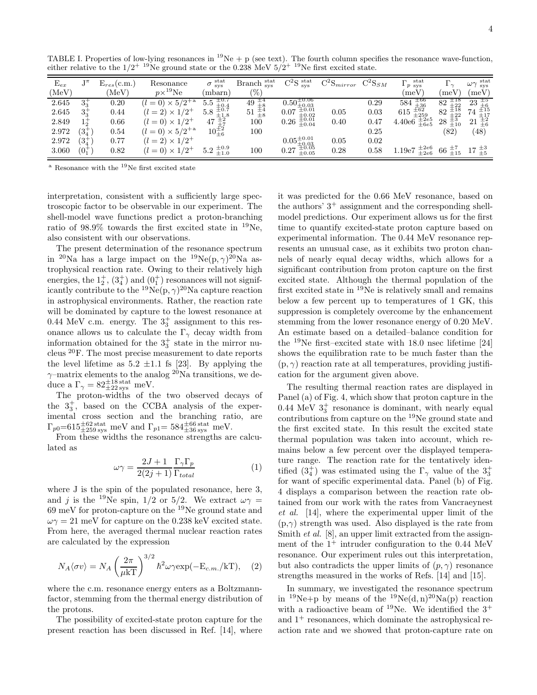| $\frac{1}{2}$     |               |                 | $110 \times 100000$ of the 0.200 me $\sqrt{27}$<br>THE THERE CHAPTERS DUCTORS |                                                   |                                                       |                                  |              |             |                                                        |                                                      |                                                                                                 |
|-------------------|---------------|-----------------|-------------------------------------------------------------------------------|---------------------------------------------------|-------------------------------------------------------|----------------------------------|--------------|-------------|--------------------------------------------------------|------------------------------------------------------|-------------------------------------------------------------------------------------------------|
| $\mathrm{E}_{ex}$ | Tπ            | $E_{res}(c.m.)$ | Resonance                                                                     | $\sigma$ stat                                     | Branch stat                                           | $C^{2}S$ stat                    | $C^2Smirror$ | $C^2S_{SM}$ | $_{\rm stat}$<br>$\Gamma$<br>$1 p$ sys                 | $\Gamma_{\gamma}$                                    | $_{\rm stat}$<br>$\omega\gamma$<br><b>SVS</b>                                                   |
| (MeV)             |               | (MeV)           | $p\times^{19}$ Ne                                                             | (mbarn)                                           | (0)                                                   |                                  |              |             | (meV)                                                  | (meV)                                                | $(\text{meV})$                                                                                  |
| 2.645             | $3^{+}_{2}$   | 0.20            | $= 0 \times 5/2^{+a}$                                                         | $\pm 0.7$<br>$\pm 0.4$<br>5.5                     | $\frac{49}{51}$ $\frac{+4}{54}$<br>51 $\frac{+4}{58}$ | $0.50^{\pm 0.06}_{\pm 0.03}$     |              | 0.29        | $\begin{array}{c} \pm 66 \\ \pm 36 \end{array}$<br>584 | $\pm 18$<br>82<br>$+22$                              | $\pm 6$<br>23                                                                                   |
| 2.645             | $3^{+}_{2}$   | 0.44            | $\sqrt{2^+}$<br>$(l=2)\times 1$                                               | $\pm 0.7$<br>$\pm 1.8$<br>5.8                     |                                                       | $\pm 0.01$<br>0.07<br>±0.02      | 0.05         | 0.03        | $\pm 62$<br>$\pm 259$<br>615                           | $\frac{\mp 18}{\pm 22}$<br>82                        | 74                                                                                              |
| 2.849             | $1^{+}_{2}$   | 0.66            | $(l = 0) \times 1/2^+$                                                        | $^{17}_{10}$ $^{+2}_{+7}$<br>$10^{+2}_{+6}$<br>47 | 100                                                   | $\pm 0.01$<br>$\pm 0.04$<br>0.26 | 0.40         | 0.47        | $\pm 2e5$<br>4.40e6<br>$\pm 6e5$                       | $\begin{array}{c} \pm 3 \\ \pm 10 \end{array}$<br>28 | $74\begin{array}{l}\pm15\\ \pm17\\ 21\end{array}$<br>$21\begin{array}{l}\pm2\\ \pm6\end{array}$ |
| 2.972             | $(3^+_4)$     | 0.54            | $(l = 0) \times 5/2^{+a}$                                                     |                                                   | 100                                                   |                                  |              | 0.25        |                                                        | $^{\prime}82)$                                       | (48)                                                                                            |
| 2.972             | $(3^+_4)$     | 0.77            | $(l = 2) \times 1/2^+$                                                        |                                                   |                                                       | $0.05\substack{\pm 0.01\-0.03}$  | 0.05         | 0.02        |                                                        |                                                      |                                                                                                 |
| 3.060             | $(0^{+}_{1})$ | 0.82            | $(l = 0) \times 1/2^+$                                                        | $5.2 \ \pm 0.9 \ \pm 1.0$                         | 100                                                   | $\pm 0.05$<br>0.27<br>$\pm 0.05$ | 0.28         | 0.58        | $\pm 2e6$<br>$\pm 2e6$<br>1.19e7                       | $66\ \substack{+7 \\ \pm 15}$                        | $17~^{+3}_{\pm 5}$                                                                              |

TABLE I. Properties of low-lying resonances in  ${}^{19}Ne + p$  (see text). The fourth column specifies the resonance wave-function, either relative to the  $1/2^{+19}$ Ne ground state or the 0.238 MeV  $5/2^{+19}$ Ne first excited state.

 $a$  Resonance with the  $19$ Ne first excited state

interpretation, consistent with a sufficiently large spectroscopic factor to be observable in our experiment. The shell-model wave functions predict a proton-branching ratio of 98.9% towards the first excited state in <sup>19</sup>Ne, also consistent with our observations.

The present determination of the resonance spectrum in <sup>20</sup>Na has a large impact on the <sup>19</sup>Ne(p,  $\gamma$ )<sup>20</sup>Na astrophysical reaction rate. Owing to their relatively high energies, the  $1^+_2$ ,  $(3^+_4)$  and  $(0^+_1)$  resonances will not significantly contribute to the  $^{19}Ne(p,\gamma)^{20}Na$  capture reaction in astrophysical environments. Rather, the reaction rate will be dominated by capture to the lowest resonance at 0.44 MeV c.m. energy. The  $3^+_3$  assignment to this resonance allows us to calculate the  $\Gamma_{\gamma}$  decay width from information obtained for the  $3^+_3$  state in the mirror nucleus <sup>20</sup>F. The most precise measurement to date reports the level lifetime as  $5.2 \pm 1.1$  fs [23]. By applying the  $\gamma$ –matrix elements to the analog <sup>20</sup>Na transitions, we deduce a  $\Gamma_{\gamma} = 82^{\pm 18 \text{ stat}}_{\pm 22 \text{ sys}}$  meV.

The proton-widths of the two observed decays of the  $3^+_3$ , based on the CCBA analysis of the experimental cross section and the branching ratio, are  $\Gamma_{p0} = 615 \pm 62 \text{ stat} \text{ meV} \text{ and } \Gamma_{p1} = 584 \pm 36 \text{ syst} \text{ meV}.$ 

From these widths the resonance strengths are calculated as

$$
\omega \gamma = \frac{2J + 1}{2(2j + 1)} \frac{\Gamma_{\gamma} \Gamma_p}{\Gamma_{total}} \tag{1}
$$

where J is the spin of the populated resonance, here 3, and j is the <sup>19</sup>Ne spin, 1/2 or 5/2. We extract  $\omega \gamma =$ 69 meV for proton-capture on the <sup>19</sup>Ne ground state and  $\omega\gamma = 21$  meV for capture on the 0.238 keV excited state. From here, the averaged thermal nuclear reaction rates are calculated by the expression

$$
N_A \langle \sigma v \rangle = N_A \left(\frac{2\pi}{\mu k \mathcal{T}}\right)^{3/2} \hbar^2 \omega \gamma \exp(-\mathcal{E}_{c.m.}/k \mathcal{T}), \quad (2)
$$

where the c.m. resonance energy enters as a Boltzmannfactor, stemming from the thermal energy distribution of the protons.

The possibility of excited-state proton capture for the present reaction has been discussed in Ref. [14], where it was predicted for the 0.66 MeV resonance, based on the authors'  $3^+$  assignment and the corresponding shellmodel predictions. Our experiment allows us for the first time to quantify excited-state proton capture based on experimental information. The 0.44 MeV resonance represents an unusual case, as it exhibits two proton channels of nearly equal decay widths, which allows for a significant contribution from proton capture on the first excited state. Although the thermal population of the first excited state in <sup>19</sup>Ne is relatively small and remains below a few percent up to temperatures of 1 GK, this suppression is completely overcome by the enhancement stemming from the lower resonance energy of 0.20 MeV. An estimate based on a detailed–balance condition for the  $19$ Ne first–excited state with 18.0 nsec lifetime [24] shows the equilibration rate to be much faster than the  $(p, \gamma)$  reaction rate at all temperatures, providing justification for the argument given above.

The resulting thermal reaction rates are displayed in Panel (a) of Fig. 4, which show that proton capture in the  $0.44 \text{ MeV } 3\frac{+}{3}$  resonance is dominant, with nearly equal contributions from capture on the <sup>19</sup>Ne ground state and the first excited state. In this result the excited state thermal population was taken into account, which remains below a few percent over the displayed temperature range. The reaction rate for the tentatively identified  $(3<sub>4</sub><sup>+</sup>)$  was estimated using the  $\Gamma_{\gamma}$  value of the  $3<sub>3</sub><sup>+</sup>$ for want of specific experimental data. Panel (b) of Fig. 4 displays a comparison between the reaction rate obtained from our work with the rates from Vancraeynest et al. [14], where the experimental upper limit of the  $(p,\gamma)$  strength was used. Also displayed is the rate from Smith *et al.* [8], an upper limit extracted from the assignment of the  $1^+$  intruder configuration to the 0.44 MeV resonance. Our experiment rules out this interpretation, but also contradicts the upper limits of  $(p, \gamma)$  resonance strengths measured in the works of Refs. [14] and [15].

In summary, we investigated the resonance spectrum in <sup>19</sup>Ne+p by means of the <sup>19</sup>Ne(d, n)<sup>20</sup>Na(p) reaction with a radioactive beam of  $^{19}$ Ne. We identified the  $3^+$ and  $1^+$  resonances, which dominate the astrophysical reaction rate and we showed that proton-capture rate on